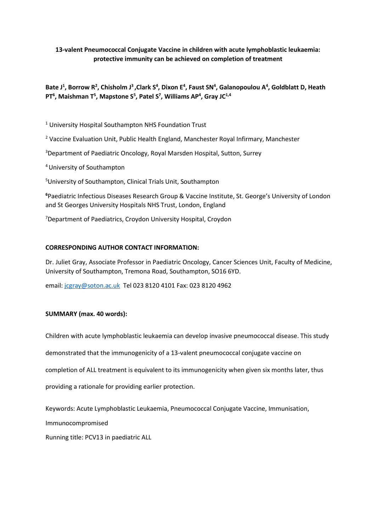## **13-valent Pneumococcal Conjugate Vaccine in children with acute lymphoblastic leukaemia: protective immunity can be achieved on completion of treatment**

# **Bate J<sup>1</sup> , Borrow R<sup>2</sup> , Chisholm J<sup>3</sup> ,Clark S<sup>4</sup> , Dixon E<sup>4</sup> , Faust SN<sup>4</sup> , Galanopoulou A<sup>4</sup> , Goldblatt D, Heath PT<sup>6</sup>, Maishman T<sup>5</sup>, Mapstone S<sup>5</sup>, Patel S<sup>7</sup>, Williams AP<sup>4</sup>, Gray JC<sup>1,4</sup>**

<sup>1</sup> University Hospital Southampton NHS Foundation Trust

<sup>2</sup> Vaccine Evaluation Unit, Public Health England, Manchester Royal Infirmary, Manchester

<sup>3</sup>Department of Paediatric Oncology, Royal Marsden Hospital, Sutton, Surrey

<sup>4</sup>University of Southampton

<sup>5</sup>University of Southampton, Clinical Trials Unit, Southampton

**<sup>6</sup>**Paediatric Infectious Diseases Research Group & Vaccine Institute, St. George's University of London and St Georges University Hospitals NHS Trust, London, England

<sup>7</sup>Department of Paediatrics, Croydon University Hospital, Croydon

### **CORRESPONDING AUTHOR CONTACT INFORMATION:**

Dr. Juliet Gray, Associate Professor in Paediatric Oncology, Cancer Sciences Unit, Faculty of Medicine, University of Southampton, Tremona Road, Southampton, SO16 6YD.

email: [jcgray@soton.ac.uk](mailto:jcgray@soton.ac.uk) Tel 023 8120 4101 Fax: 023 8120 4962

### **SUMMARY (max. 40 words):**

Children with acute lymphoblastic leukaemia can develop invasive pneumococcal disease. This study

demonstrated that the immunogenicity of a 13-valent pneumococcal conjugate vaccine on

completion of ALL treatment is equivalent to its immunogenicity when given six months later, thus

providing a rationale for providing earlier protection.

Keywords: Acute Lymphoblastic Leukaemia, Pneumococcal Conjugate Vaccine, Immunisation,

Immunocompromised

Running title: PCV13 in paediatric ALL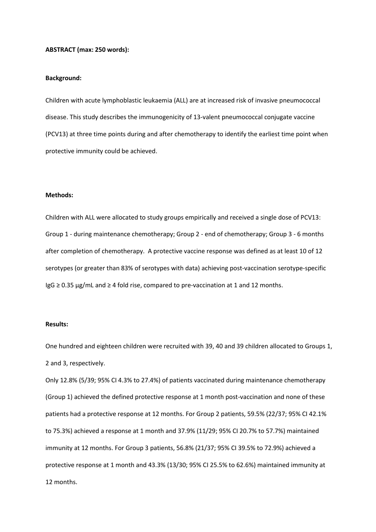#### **ABSTRACT (max: 250 words):**

#### **Background:**

Children with acute lymphoblastic leukaemia (ALL) are at increased risk of invasive pneumococcal disease. This study describes the immunogenicity of 13-valent pneumococcal conjugate vaccine (PCV13) at three time points during and after chemotherapy to identify the earliest time point when protective immunity could be achieved.

#### **Methods:**

Children with ALL were allocated to study groups empirically and received a single dose of PCV13: Group 1 - during maintenance chemotherapy; Group 2 - end of chemotherapy; Group 3 - 6 months after completion of chemotherapy. A protective vaccine response was defined as at least 10 of 12 serotypes (or greater than 83% of serotypes with data) achieving post-vaccination serotype-specific  $\lg G \geq 0.35 \,\mathrm{\mu g/mL}$  and  $\geq 4$  fold rise, compared to pre-vaccination at 1 and 12 months.

#### **Results:**

One hundred and eighteen children were recruited with 39, 40 and 39 children allocated to Groups 1, 2 and 3, respectively.

Only 12.8% (5/39; 95% CI 4.3% to 27.4%) of patients vaccinated during maintenance chemotherapy (Group 1) achieved the defined protective response at 1 month post-vaccination and none of these patients had a protective response at 12 months. For Group 2 patients, 59.5% (22/37; 95% CI 42.1% to 75.3%) achieved a response at 1 month and 37.9% (11/29; 95% CI 20.7% to 57.7%) maintained immunity at 12 months. For Group 3 patients, 56.8% (21/37; 95% CI 39.5% to 72.9%) achieved a protective response at 1 month and 43.3% (13/30; 95% CI 25.5% to 62.6%) maintained immunity at 12 months.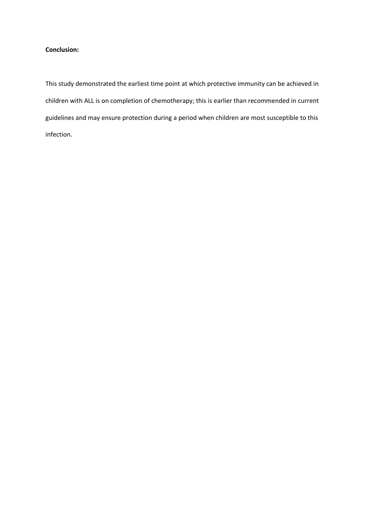### **Conclusion:**

This study demonstrated the earliest time point at which protective immunity can be achieved in children with ALL is on completion of chemotherapy; this is earlier than recommended in current guidelines and may ensure protection during a period when children are most susceptible to this infection.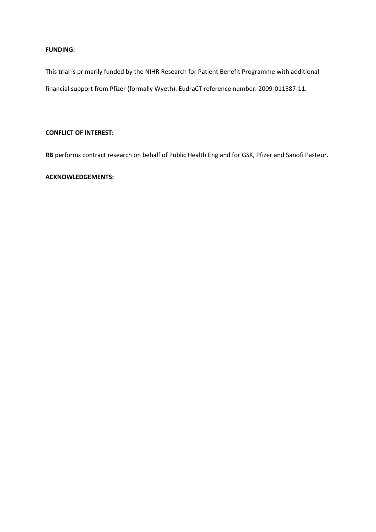### **FUNDING:**

This trial is primarily funded by the NIHR Research for Patient Benefit Programme with additional financial support from Pfizer (formally Wyeth). EudraCT reference number: 2009-011587-11.

## **CONFLICT OF INTEREST:**

**RB** performs contract research on behalf of Public Health England for GSK, Pfizer and Sanofi Pasteur.

## **ACKNOWLEDGEMENTS:**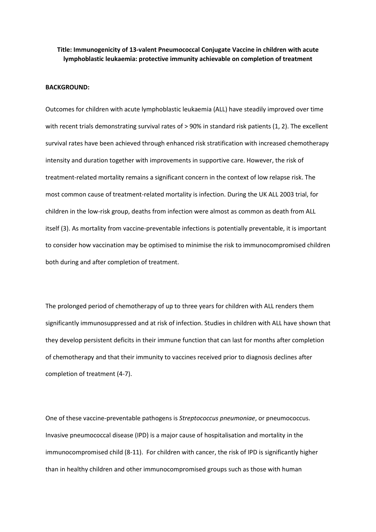### **Title: Immunogenicity of 13-valent Pneumococcal Conjugate Vaccine in children with acute lymphoblastic leukaemia: protective immunity achievable on completion of treatment**

### **BACKGROUND:**

Outcomes for children with acute lymphoblastic leukaemia (ALL) have steadily improved over time with recent trials demonstrating survival rates of  $> 90\%$  in standard risk patients (1, 2). The excellent survival rates have been achieved through enhanced risk stratification with increased chemotherapy intensity and duration together with improvements in supportive care. However, the risk of treatment-related mortality remains a significant concern in the context of low relapse risk. The most common cause of treatment-related mortality is infection. During the UK ALL 2003 trial, for children in the low-risk group, deaths from infection were almost as common as death from ALL itself (3). As mortality from vaccine-preventable infections is potentially preventable, it is important to consider how vaccination may be optimised to minimise the risk to immunocompromised children both during and after completion of treatment.

The prolonged period of chemotherapy of up to three years for children with ALL renders them significantly immunosuppressed and at risk of infection. Studies in children with ALL have shown that they develop persistent deficits in their immune function that can last for months after completion of chemotherapy and that their immunity to vaccines received prior to diagnosis declines after completion of treatment (4-7).

One of these vaccine-preventable pathogens is *Streptococcus pneumoniae*, or pneumococcus. Invasive pneumococcal disease (IPD) is a major cause of hospitalisation and mortality in the immunocompromised child (8-11). For children with cancer, the risk of IPD is significantly higher than in healthy children and other immunocompromised groups such as those with human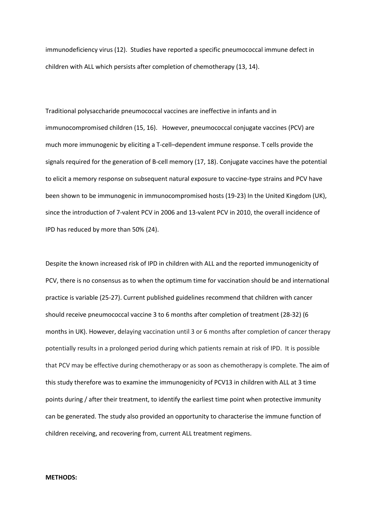immunodeficiency virus (12). Studies have reported a specific pneumococcal immune defect in children with ALL which persists after completion of chemotherapy (13, 14).

Traditional polysaccharide pneumococcal vaccines are ineffective in infants and in immunocompromised children (15, 16). However, pneumococcal conjugate vaccines (PCV) are much more immunogenic by eliciting a T-cell–dependent immune response. T cells provide the signals required for the generation of B-cell memory (17, 18). Conjugate vaccines have the potential to elicit a memory response on subsequent natural exposure to vaccine-type strains and PCV have been shown to be immunogenic in immunocompromised hosts (19-23) In the United Kingdom (UK), since the introduction of 7-valent PCV in 2006 and 13-valent PCV in 2010, the overall incidence of IPD has reduced by more than 50% (24).

Despite the known increased risk of IPD in children with ALL and the reported immunogenicity of PCV, there is no consensus as to when the optimum time for vaccination should be and international practice is variable (25-27). Current published guidelines recommend that children with cancer should receive pneumococcal vaccine 3 to 6 months after completion of treatment (28-32) (6 months in UK). However, delaying vaccination until 3 or 6 months after completion of cancer therapy potentially results in a prolonged period during which patients remain at risk of IPD. It is possible that PCV may be effective during chemotherapy or as soon as chemotherapy is complete. The aim of this study therefore was to examine the immunogenicity of PCV13 in children with ALL at 3 time points during / after their treatment, to identify the earliest time point when protective immunity can be generated. The study also provided an opportunity to characterise the immune function of children receiving, and recovering from, current ALL treatment regimens.

#### **METHODS:**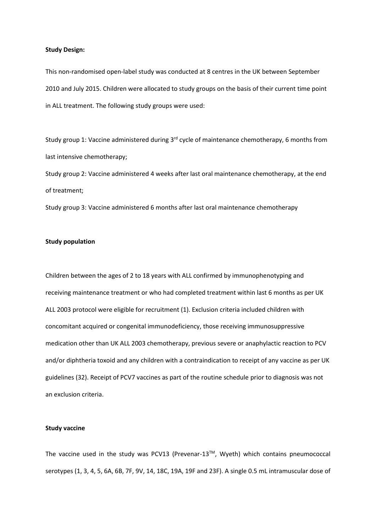#### **Study Design:**

This non-randomised open-label study was conducted at 8 centres in the UK between September 2010 and July 2015. Children were allocated to study groups on the basis of their current time point in ALL treatment. The following study groups were used:

Study group 1: Vaccine administered during 3<sup>rd</sup> cycle of maintenance chemotherapy, 6 months from last intensive chemotherapy;

Study group 2: Vaccine administered 4 weeks after last oral maintenance chemotherapy, at the end of treatment;

Study group 3: Vaccine administered 6 months after last oral maintenance chemotherapy

#### **Study population**

Children between the ages of 2 to 18 years with ALL confirmed by immunophenotyping and receiving maintenance treatment or who had completed treatment within last 6 months as per UK ALL 2003 protocol were eligible for recruitment (1). Exclusion criteria included children with concomitant acquired or congenital immunodeficiency, those receiving immunosuppressive medication other than UK ALL 2003 chemotherapy, previous severe or anaphylactic reaction to PCV and/or diphtheria toxoid and any children with a contraindication to receipt of any vaccine as per UK guidelines (32). Receipt of PCV7 vaccines as part of the routine schedule prior to diagnosis was not an exclusion criteria.

#### **Study vaccine**

The vaccine used in the study was PCV13 (Prevenar-13™, Wyeth) which contains pneumococcal serotypes (1, 3, 4, 5, 6A, 6B, 7F, 9V, 14, 18C, 19A, 19F and 23F). A single 0.5 mL intramuscular dose of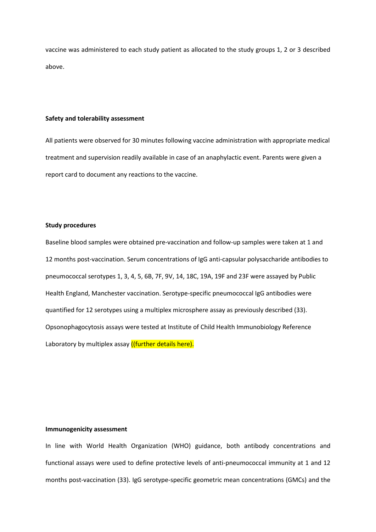vaccine was administered to each study patient as allocated to the study groups 1, 2 or 3 described above.

#### **Safety and tolerability assessment**

All patients were observed for 30 minutes following vaccine administration with appropriate medical treatment and supervision readily available in case of an anaphylactic event. Parents were given a report card to document any reactions to the vaccine.

#### **Study procedures**

Baseline blood samples were obtained pre-vaccination and follow-up samples were taken at 1 and 12 months post-vaccination. Serum concentrations of IgG anti-capsular polysaccharide antibodies to pneumococcal serotypes 1, 3, 4, 5, 6B, 7F, 9V, 14, 18C, 19A, 19F and 23F were assayed by Public Health England, Manchester vaccination. Serotype-specific pneumococcal IgG antibodies were quantified for 12 serotypes using a multiplex microsphere assay as previously described (33). Opsonophagocytosis assays were tested at Institute of Child Health Immunobiology Reference Laboratory by multiplex assay ((further details here).

### **Immunogenicity assessment**

In line with World Health Organization (WHO) guidance, both antibody concentrations and functional assays were used to define protective levels of anti-pneumococcal immunity at 1 and 12 months post-vaccination (33). IgG serotype-specific geometric mean concentrations (GMCs) and the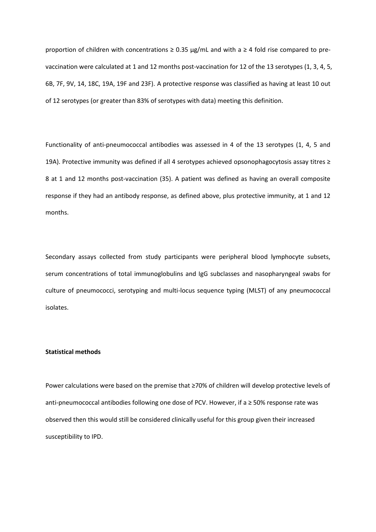proportion of children with concentrations  $\geq$  0.35 µg/mL and with a  $\geq$  4 fold rise compared to prevaccination were calculated at 1 and 12 months post-vaccination for 12 of the 13 serotypes (1, 3, 4, 5, 6B, 7F, 9V, 14, 18C, 19A, 19F and 23F). A protective response was classified as having at least 10 out of 12 serotypes (or greater than 83% of serotypes with data) meeting this definition.

Functionality of anti-pneumococcal antibodies was assessed in 4 of the 13 serotypes (1, 4, 5 and 19A). Protective immunity was defined if all 4 serotypes achieved opsonophagocytosis assay titres ≥ 8 at 1 and 12 months post-vaccination (35). A patient was defined as having an overall composite response if they had an antibody response, as defined above, plus protective immunity, at 1 and 12 months.

Secondary assays collected from study participants were peripheral blood lymphocyte subsets, serum concentrations of total immunoglobulins and IgG subclasses and nasopharyngeal swabs for culture of pneumococci, serotyping and multi-locus sequence typing (MLST) of any pneumococcal isolates.

### **Statistical methods**

Power calculations were based on the premise that ≥70% of children will develop protective levels of anti-pneumococcal antibodies following one dose of PCV. However, if a ≥ 50% response rate was observed then this would still be considered clinically useful for this group given their increased susceptibility to IPD.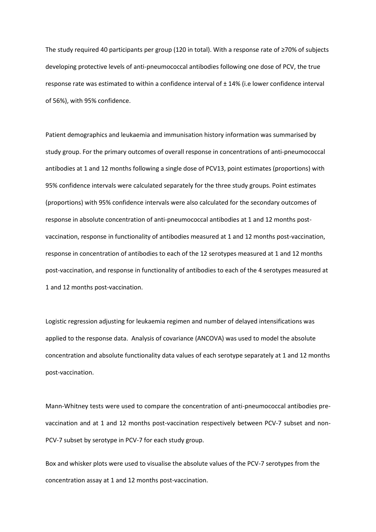The study required 40 participants per group (120 in total). With a response rate of ≥70% of subjects developing protective levels of anti-pneumococcal antibodies following one dose of PCV, the true response rate was estimated to within a confidence interval of ± 14% (i.e lower confidence interval of 56%), with 95% confidence.

Patient demographics and leukaemia and immunisation history information was summarised by study group. For the primary outcomes of overall response in concentrations of anti-pneumococcal antibodies at 1 and 12 months following a single dose of PCV13, point estimates (proportions) with 95% confidence intervals were calculated separately for the three study groups. Point estimates (proportions) with 95% confidence intervals were also calculated for the secondary outcomes of response in absolute concentration of anti-pneumococcal antibodies at 1 and 12 months postvaccination, response in functionality of antibodies measured at 1 and 12 months post-vaccination, response in concentration of antibodies to each of the 12 serotypes measured at 1 and 12 months post-vaccination, and response in functionality of antibodies to each of the 4 serotypes measured at 1 and 12 months post-vaccination.

Logistic regression adjusting for leukaemia regimen and number of delayed intensifications was applied to the response data. Analysis of covariance (ANCOVA) was used to model the absolute concentration and absolute functionality data values of each serotype separately at 1 and 12 months post-vaccination.

Mann-Whitney tests were used to compare the concentration of anti-pneumococcal antibodies prevaccination and at 1 and 12 months post-vaccination respectively between PCV-7 subset and non-PCV-7 subset by serotype in PCV-7 for each study group.

Box and whisker plots were used to visualise the absolute values of the PCV-7 serotypes from the concentration assay at 1 and 12 months post-vaccination.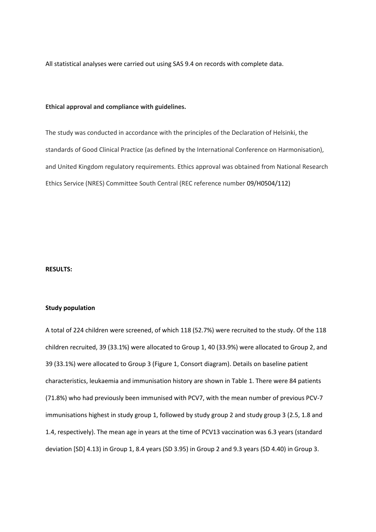All statistical analyses were carried out using SAS 9.4 on records with complete data.

### **Ethical approval and compliance with guidelines.**

The study was conducted in accordance with the principles of the Declaration of Helsinki, the standards of Good Clinical Practice (as defined by the International Conference on Harmonisation), and United Kingdom regulatory requirements. Ethics approval was obtained from National Research Ethics Service (NRES) Committee South Central (REC reference number 09/H0504/112)

#### **RESULTS:**

#### **Study population**

A total of 224 children were screened, of which 118 (52.7%) were recruited to the study. Of the 118 children recruited, 39 (33.1%) were allocated to Group 1, 40 (33.9%) were allocated to Group 2, and 39 (33.1%) were allocated to Group 3 (Figure 1, Consort diagram). Details on baseline patient characteristics, leukaemia and immunisation history are shown in Table 1. There were 84 patients (71.8%) who had previously been immunised with PCV7, with the mean number of previous PCV-7 immunisations highest in study group 1, followed by study group 2 and study group 3 (2.5, 1.8 and 1.4, respectively). The mean age in years at the time of PCV13 vaccination was 6.3 years (standard deviation [SD] 4.13) in Group 1, 8.4 years (SD 3.95) in Group 2 and 9.3 years (SD 4.40) in Group 3.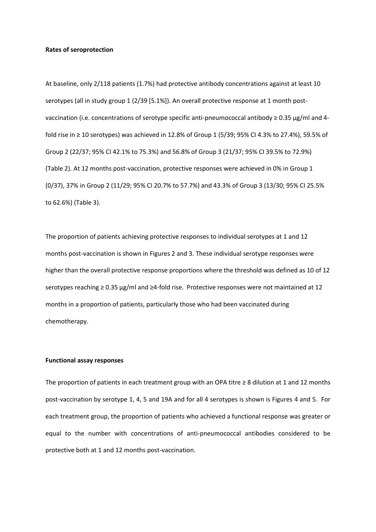#### **Rates of seroprotection**

At baseline, only 2/118 patients (1.7%) had protective antibody concentrations against at least 10 serotypes (all in study group 1 (2/39 [5.1%]). An overall protective response at 1 month postvaccination (i.e. concentrations of serotype specific anti-pneumococcal antibody ≥ 0.35 μg/ml and 4 fold rise in ≥ 10 serotypes) was achieved in 12.8% of Group 1 (5/39; 95% CI 4.3% to 27.4%), 59.5% of Group 2 (22/37; 95% CI 42.1% to 75.3%) and 56.8% of Group 3 (21/37; 95% CI 39.5% to 72.9%) (Table 2). At 12 months post-vaccination, protective responses were achieved in 0% in Group 1 (0/37), 37% in Group 2 (11/29; 95% CI 20.7% to 57.7%) and 43.3% of Group 3 (13/30; 95% CI 25.5% to 62.6%) (Table 3).

The proportion of patients achieving protective responses to individual serotypes at 1 and 12 months post-vaccination is shown in Figures 2 and 3. These individual serotype responses were higher than the overall protective response proportions where the threshold was defined as 10 of 12 serotypes reaching ≥ 0.35 µg/ml and ≥4-fold rise. Protective responses were not maintained at 12 months in a proportion of patients, particularly those who had been vaccinated during chemotherapy.

#### **Functional assay responses**

The proportion of patients in each treatment group with an OPA titre  $\geq 8$  dilution at 1 and 12 months post-vaccination by serotype 1, 4, 5 and 19A and for all 4 serotypes is shown is Figures 4 and 5. For each treatment group, the proportion of patients who achieved a functional response was greater or equal to the number with concentrations of anti-pneumococcal antibodies considered to be protective both at 1 and 12 months post-vaccination.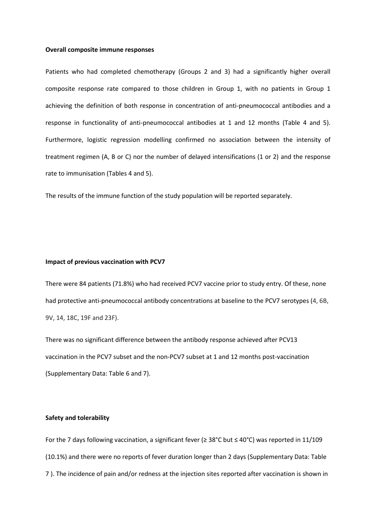#### **Overall composite immune responses**

Patients who had completed chemotherapy (Groups 2 and 3) had a significantly higher overall composite response rate compared to those children in Group 1, with no patients in Group 1 achieving the definition of both response in concentration of anti-pneumococcal antibodies and a response in functionality of anti-pneumococcal antibodies at 1 and 12 months (Table 4 and 5). Furthermore, logistic regression modelling confirmed no association between the intensity of treatment regimen (A, B or C) nor the number of delayed intensifications (1 or 2) and the response rate to immunisation (Tables 4 and 5).

The results of the immune function of the study population will be reported separately.

#### **Impact of previous vaccination with PCV7**

There were 84 patients (71.8%) who had received PCV7 vaccine prior to study entry. Of these, none had protective anti-pneumococcal antibody concentrations at baseline to the PCV7 serotypes (4, 6B, 9V, 14, 18C, 19F and 23F).

There was no significant difference between the antibody response achieved after PCV13 vaccination in the PCV7 subset and the non-PCV7 subset at 1 and 12 months post-vaccination (Supplementary Data: Table 6 and 7).

### **Safety and tolerability**

For the 7 days following vaccination, a significant fever (≥ 38°C but ≤ 40°C) was reported in 11/109 (10.1%) and there were no reports of fever duration longer than 2 days (Supplementary Data: Table 7 ). The incidence of pain and/or redness at the injection sites reported after vaccination is shown in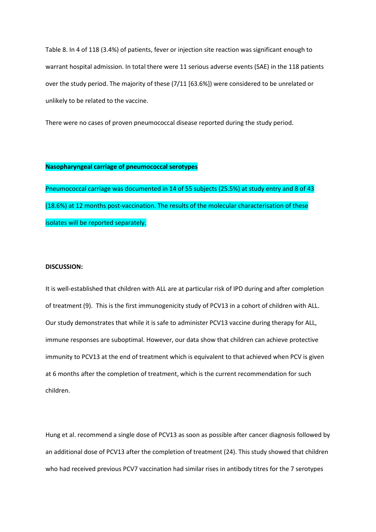Table 8. In 4 of 118 (3.4%) of patients, fever or injection site reaction was significant enough to warrant hospital admission. In total there were 11 serious adverse events (SAE) in the 118 patients over the study period. The majority of these (7/11 [63.6%]) were considered to be unrelated or unlikely to be related to the vaccine.

There were no cases of proven pneumococcal disease reported during the study period.

### **Nasopharyngeal carriage of pneumococcal serotypes**

Pneumococcal carriage was documented in 14 of 55 subjects (25.5%) at study entry and 8 of 43 (18.6%) at 12 months post-vaccination. The results of the molecular characterisation of these isolates will be reported separately.

### **DISCUSSION:**

It is well-established that children with ALL are at particular risk of IPD during and after completion of treatment (9). This is the first immunogenicity study of PCV13 in a cohort of children with ALL. Our study demonstrates that while it is safe to administer PCV13 vaccine during therapy for ALL, immune responses are suboptimal. However, our data show that children can achieve protective immunity to PCV13 at the end of treatment which is equivalent to that achieved when PCV is given at 6 months after the completion of treatment, which is the current recommendation for such children.

Hung et al. recommend a single dose of PCV13 as soon as possible after cancer diagnosis followed by an additional dose of PCV13 after the completion of treatment (24). This study showed that children who had received previous PCV7 vaccination had similar rises in antibody titres for the 7 serotypes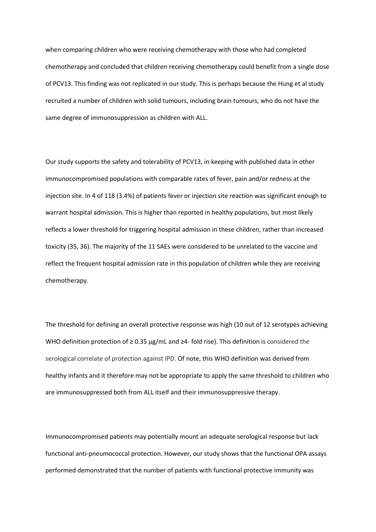when comparing children who were receiving chemotherapy with those who had completed chemotherapy and concluded that children receiving chemotherapy could benefit from a single dose of PCV13. This finding was not replicated in our study. This is perhaps because the Hung et al study recruited a number of children with solid tumours, including brain tumours, who do not have the same degree of immunosuppression as children with ALL.

Our study supports the safety and tolerability of PCV13, in keeping with published data in other immunocompromised populations with comparable rates of fever, pain and/or redness at the injection site. In 4 of 118 (3.4%) of patients fever or injection site reaction was significant enough to warrant hospital admission. This is higher than reported in healthy populations, but most likely reflects a lower threshold for triggering hospital admission in these children, rather than increased toxicity (35, 36). The majority of the 11 SAEs were considered to be unrelated to the vaccine and reflect the frequent hospital admission rate in this population of children while they are receiving chemotherapy.

The threshold for defining an overall protective response was high (10 out of 12 serotypes achieving WHO definition protection of  $\geq$  0.35  $\mu$ g/mL and  $\geq$ 4- fold rise). This definition is considered the serological correlate of protection against IPD. Of note, this WHO definition was derived from healthy infants and it therefore may not be appropriate to apply the same threshold to children who are immunosuppressed both from ALL itself and their immunosuppressive therapy.

Immunocompromised patients may potentially mount an adequate serological response but lack functional anti-pneumococcal protection. However, our study shows that the functional OPA assays performed demonstrated that the number of patients with functional protective immunity was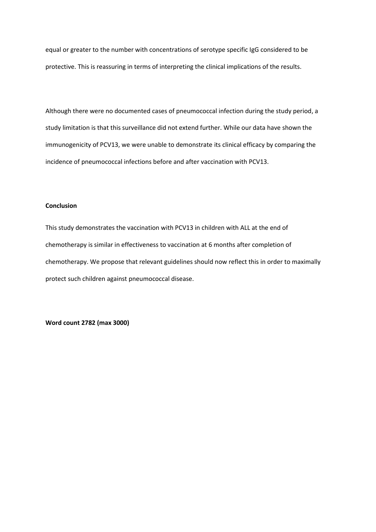equal or greater to the number with concentrations of serotype specific IgG considered to be protective. This is reassuring in terms of interpreting the clinical implications of the results.

Although there were no documented cases of pneumococcal infection during the study period, a study limitation is that this surveillance did not extend further. While our data have shown the immunogenicity of PCV13, we were unable to demonstrate its clinical efficacy by comparing the incidence of pneumococcal infections before and after vaccination with PCV13.

### **Conclusion**

This study demonstrates the vaccination with PCV13 in children with ALL at the end of chemotherapy is similar in effectiveness to vaccination at 6 months after completion of chemotherapy. We propose that relevant guidelines should now reflect this in order to maximally protect such children against pneumococcal disease.

**Word count 2782 (max 3000)**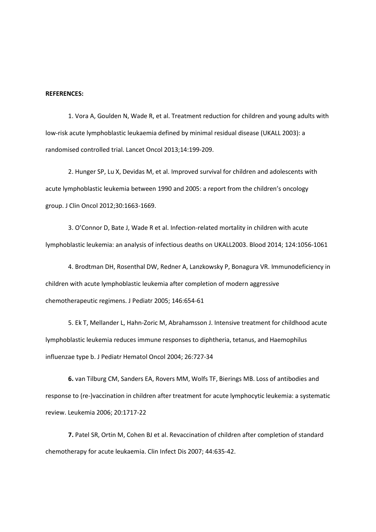#### **REFERENCES:**

1. Vora A, Goulden N, Wade R, et al. Treatment reduction for children and young adults with low-risk acute lymphoblastic leukaemia defined by minimal residual disease (UKALL 2003): a randomised controlled trial. Lancet Oncol 2013;14:199-209.

2. Hunger SP, Lu X, Devidas M, et al. Improved survival for children and adolescents with acute lymphoblastic leukemia between 1990 and 2005: a report from the children's oncology group. J Clin Oncol 2012;30:1663-1669.

3. O'Connor D, Bate J, Wade R et al. Infection-related mortality in children with acute lymphoblastic leukemia: an analysis of infectious deaths on UKALL2003. Blood 2014; 124:1056-1061

4. Brodtman DH, Rosenthal DW, Redner A, Lanzkowsky P, Bonagura VR. Immunodeficiency in children with acute lymphoblastic leukemia after completion of modern aggressive chemotherapeutic regimens. J Pediatr 2005; 146:654-61

5. Ek T, Mellander L, Hahn-Zoric M, Abrahamsson J. Intensive treatment for childhood acute lymphoblastic leukemia reduces immune responses to diphtheria, tetanus, and Haemophilus influenzae type b. J Pediatr Hematol Oncol 2004; 26:727-34

**6.** van Tilburg CM, Sanders EA, Rovers MM, Wolfs TF, Bierings MB. Loss of antibodies and response to (re-)vaccination in children after treatment for acute lymphocytic leukemia: a systematic review. Leukemia 2006; 20:1717-22

**7.** Patel SR, Ortin M, Cohen BJ et al. Revaccination of children after completion of standard chemotherapy for acute leukaemia. Clin Infect Dis 2007; 44:635-42.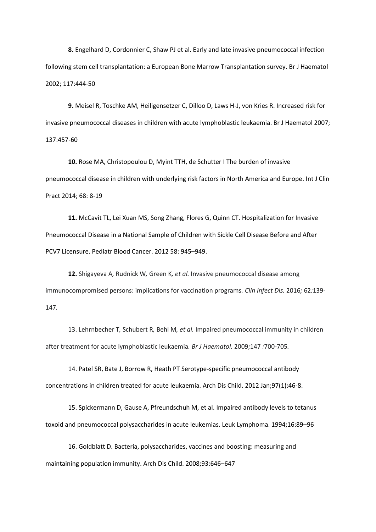**8.** Engelhard D, Cordonnier C, Shaw PJ et al. Early and late invasive pneumococcal infection following stem cell transplantation: a European Bone Marrow Transplantation survey. Br J Haematol 2002; 117:444-50

**9.** Meisel R, Toschke AM, Heiligensetzer C, Dilloo D, Laws H-J, von Kries R. Increased risk for invasive pneumococcal diseases in children with acute lymphoblastic leukaemia. Br J Haematol 2007; 137:457-60

**10.** Rose MA, Christopoulou D, Myint TTH, de Schutter I The burden of invasive pneumococcal disease in children with underlying risk factors in North America and Europe. Int J Clin Pract 2014; 68: 8-19

**11.** McCavit TL, Lei Xuan MS, Song Zhang, Flores G, Quinn CT. Hospitalization for Invasive Pneumococcal Disease in a National Sample of Children with Sickle Cell Disease Before and After PCV7 Licensure. Pediatr Blood Cancer. 2012 58: 945–949.

**12.** Shigayeva A*,* Rudnick W*,* Green K*, et al.* Invasive pneumococcal disease among immunocompromised persons: implications for vaccination programs*. Clin Infect Dis.* 2016*;* 62*:*139*‐* 147*.*

13. Lehrnbecher T*,* Schubert R*,* Behl M*, et al.* Impaired pneumococcal immunity in children after treatment for acute lymphoblastic leukaemia*. Br J Haematol.* 2009*;*147 *:*700*‐*705*.*

14. Patel SR, Bate J, Borrow R, Heath PT Serotype-specific pneumococcal antibody concentrations in children treated for acute leukaemia. Arch Dis Child. 2012 Jan;97(1):46-8.

15. Spickermann D, Gause A, Pfreundschuh M, et al. Impaired antibody levels to tetanus toxoid and pneumococcal polysaccharides in acute leukemias. Leuk Lymphoma. 1994;16:89–96

16. Goldblatt D. Bacteria, polysaccharides, vaccines and boosting: measuring and maintaining population immunity. Arch Dis Child. 2008;93:646–647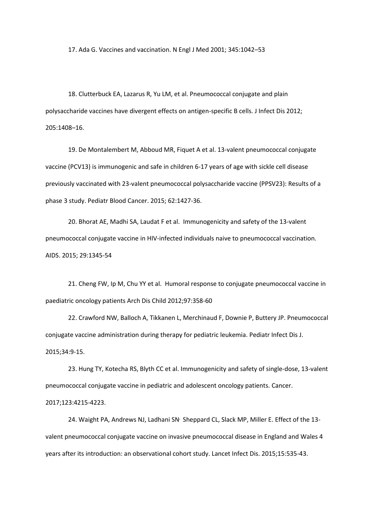17. Ada G. Vaccines and vaccination. N Engl J Med 2001; 345:1042–53

18. Clutterbuck EA, Lazarus R, Yu LM, et al. Pneumococcal conjugate and plain polysaccharide vaccines have divergent effects on antigen-specific B cells. J Infect Dis 2012; 205:1408–16.

19. De Montalembert M, Abboud MR, Fiquet A et al. 13-valent pneumococcal conjugate vaccine (PCV13) is immunogenic and safe in children 6-17 years of age with sickle cell disease previously vaccinated with 23-valent pneumococcal polysaccharide vaccine (PPSV23): Results of a phase 3 study. Pediatr Blood Cancer. 2015; 62:1427-36.

20. Bhorat AE, Madhi SA, Laudat F et al. [Immunogenicity and safety of the 13-valent](https://www.ncbi.nlm.nih.gov/pubmed/25888646)  pneumococcal conjugate vaccine in HIV-infected [individuals naive to pneumococcal](https://www.ncbi.nlm.nih.gov/pubmed/25888646) vaccination. AIDS. 2015; 29:1345-54

21[. Cheng](https://www.ncbi.nlm.nih.gov/pubmed/?term=Cheng%20FW%5BAuthor%5D&cauthor=true&cauthor_uid=21109505) FW, [Ip M,](https://www.ncbi.nlm.nih.gov/pubmed/?term=Ip%20M%5BAuthor%5D&cauthor=true&cauthor_uid=21109505) [Chu YY](https://www.ncbi.nlm.nih.gov/pubmed/?term=Chu%20YY%5BAuthor%5D&cauthor=true&cauthor_uid=21109505) et al. Humoral response to conjugate pneumococcal vaccine in paediatric oncology patients Arch Dis Child 2012;97:358-60

22[. Crawford NW,](https://www.ncbi.nlm.nih.gov/pubmed/?term=Crawford%20NW%5BAuthor%5D&cauthor=true&cauthor_uid=25101761) [Balloch A,](https://www.ncbi.nlm.nih.gov/pubmed/?term=Balloch%20A%5BAuthor%5D&cauthor=true&cauthor_uid=25101761) [Tikkanen L,](https://www.ncbi.nlm.nih.gov/pubmed/?term=Tikkanen%20L%5BAuthor%5D&cauthor=true&cauthor_uid=25101761) [Merchinaud F,](https://www.ncbi.nlm.nih.gov/pubmed/?term=Merchinaud%20F%5BAuthor%5D&cauthor=true&cauthor_uid=25101761) [Downie P,](https://www.ncbi.nlm.nih.gov/pubmed/?term=Downie%20P%5BAuthor%5D&cauthor=true&cauthor_uid=25101761) [Buttery JP.](https://www.ncbi.nlm.nih.gov/pubmed/?term=Buttery%20JP%5BAuthor%5D&cauthor=true&cauthor_uid=25101761) Pneumococcal conjugate vaccine administration during therapy for pediatric leukemia. Pediatr Infect Dis J. 2015;34:9-15.

23. Hung TY, Kotecha RS, Blyth CC et al. [Immunogenicity and safety of single-dose, 13-valent](https://www.ncbi.nlm.nih.gov/pubmed/28696530)  pneumococcal conjugate [vaccine in pediatric and adolescent oncology patients.](https://www.ncbi.nlm.nih.gov/pubmed/28696530) Cancer. 2017;123:4215-4223.

24[. Waight PA,](https://www.ncbi.nlm.nih.gov/pubmed/?term=Waight%20PA%5BAuthor%5D&cauthor=true&cauthor_uid=25801458) [Andrews NJ,](https://www.ncbi.nlm.nih.gov/pubmed/?term=Andrews%20NJ%5BAuthor%5D&cauthor=true&cauthor_uid=25801458) [Ladhani SN](https://www.ncbi.nlm.nih.gov/pubmed/?term=Ladhani%20SN%5BAuthor%5D&cauthor=true&cauthor_uid=25801458)<sup>,</sup> [Sheppard CL,](https://www.ncbi.nlm.nih.gov/pubmed/?term=Sheppard%20CL%5BAuthor%5D&cauthor=true&cauthor_uid=25801458) [Slack MP,](https://www.ncbi.nlm.nih.gov/pubmed/?term=Slack%20MP%5BAuthor%5D&cauthor=true&cauthor_uid=25801458) [Miller E.](https://www.ncbi.nlm.nih.gov/pubmed/?term=Miller%20E%5BAuthor%5D&cauthor=true&cauthor_uid=25801458) Effect of the 13valent pneumococcal conjugate vaccine on invasive pneumococcal disease in England and Wales 4 years after its introduction: an observational cohort study. Lancet Infect Dis. 2015;15:535-43.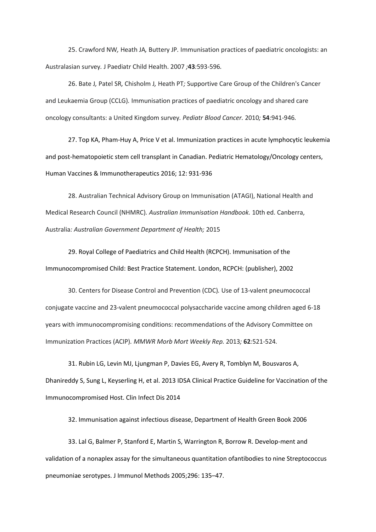25. Crawford NW*,* Heath JA*,* Buttery JP*.* Immunisation practices of paediatric oncologists: an Australasian survey*.* J Paediatr Child Health. 2007 *;***43***:*593*‐*596*.*

26. Bate J*,* Patel SR*,* Chisholm J*,* Heath PT*;* Supportive Care Group of the Children's Cancer and Leukaemia Group (CCLG)*.* Immunisation practices of paediatric oncology and shared care oncology consultants: a United Kingdom survey*. Pediatr Blood Cancer.* 2010*;* **54***:*941*‐*946*.*

27. Top KA, Pham-Huy A, Price V et al. Immunization practices in acute lymphocytic leukemia and post-hematopoietic stem cell transplant in Canadian. Pediatric Hematology/Oncology centers, Human Vaccines & Immunotherapeutics 2016; 12: 931-936

28. Australian Technical Advisory Group on Immunisation (ATAGI), National Health and Medical Research Council (NHMRC)*. Australian Immunisation Handbook.* 10th ed. Canberra, Australia*: Australian Government Department of Health;* 2015

29. Royal College of Paediatrics and Child Health (RCPCH). Immunisation of the Immunocompromised Child: Best Practice Statement. London, RCPCH: (publisher), 2002

30. Centers for Disease Control and Prevention (CDC)*.* Use of 13‐valent pneumococcal conjugate vaccine and 23‐valent pneumococcal polysaccharide vaccine among children aged 6‐18 years with immunocompromising conditions: recommendations of the Advisory Committee on Immunization Practices (ACIP)*. MMWR Morb Mort Weekly Rep.* 2013*;* **62***:*521*‐*524*.*

31. Rubin LG, Levin MJ, Ljungman P, Davies EG, Avery R, Tomblyn M, Bousvaros A, Dhanireddy S, Sung L, Keyserling H, et al. 2013 IDSA Clinical Practice Guideline for Vaccination of the Immunocompromised Host. Clin Infect Dis 2014

32. Immunisation against infectious disease, Department of Health Green Book 2006

33. Lal G, Balmer P, Stanford E, Martin S, Warrington R, Borrow R. Develop-ment and validation of a nonaplex assay for the simultaneous quantitation ofantibodies to nine Streptococcus pneumoniae serotypes. J Immunol Methods 2005;296: 135–47.